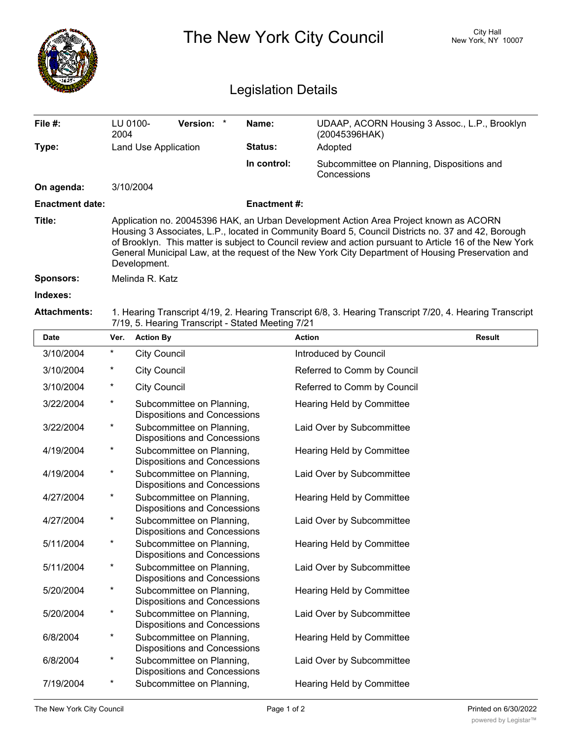|                            | <b>City Hall</b><br>The New York City Council<br>New York, NY 10007                                                                                                                                                                                                                                                                                                                                                         |                      |                                                                  |                     |                             |                                               |  |  |  |  |
|----------------------------|-----------------------------------------------------------------------------------------------------------------------------------------------------------------------------------------------------------------------------------------------------------------------------------------------------------------------------------------------------------------------------------------------------------------------------|----------------------|------------------------------------------------------------------|---------------------|-----------------------------|-----------------------------------------------|--|--|--|--|
| <b>Legislation Details</b> |                                                                                                                                                                                                                                                                                                                                                                                                                             |                      |                                                                  |                     |                             |                                               |  |  |  |  |
| File #:                    | LU 0100-<br>2004                                                                                                                                                                                                                                                                                                                                                                                                            |                      | <b>Version:</b><br>$\ast$                                        | Name:               | (20045396HAK)               | UDAAP, ACORN Housing 3 Assoc., L.P., Brooklyn |  |  |  |  |
| Type:                      |                                                                                                                                                                                                                                                                                                                                                                                                                             | Land Use Application |                                                                  | Status:             | Adopted                     |                                               |  |  |  |  |
|                            |                                                                                                                                                                                                                                                                                                                                                                                                                             |                      |                                                                  | In control:         | Concessions                 | Subcommittee on Planning, Dispositions and    |  |  |  |  |
| On agenda:                 |                                                                                                                                                                                                                                                                                                                                                                                                                             | 3/10/2004            |                                                                  |                     |                             |                                               |  |  |  |  |
| <b>Enactment date:</b>     |                                                                                                                                                                                                                                                                                                                                                                                                                             |                      |                                                                  | <b>Enactment #:</b> |                             |                                               |  |  |  |  |
| Title:                     | Application no. 20045396 HAK, an Urban Development Action Area Project known as ACORN<br>Housing 3 Associates, L.P., located in Community Board 5, Council Districts no. 37 and 42, Borough<br>of Brooklyn. This matter is subject to Council review and action pursuant to Article 16 of the New York<br>General Municipal Law, at the request of the New York City Department of Housing Preservation and<br>Development. |                      |                                                                  |                     |                             |                                               |  |  |  |  |
| <b>Sponsors:</b>           | Melinda R. Katz                                                                                                                                                                                                                                                                                                                                                                                                             |                      |                                                                  |                     |                             |                                               |  |  |  |  |
| Indexes:                   |                                                                                                                                                                                                                                                                                                                                                                                                                             |                      |                                                                  |                     |                             |                                               |  |  |  |  |
| <b>Attachments:</b>        | 1. Hearing Transcript 4/19, 2. Hearing Transcript 6/8, 3. Hearing Transcript 7/20, 4. Hearing Transcript<br>7/19, 5. Hearing Transcript - Stated Meeting 7/21                                                                                                                                                                                                                                                               |                      |                                                                  |                     |                             |                                               |  |  |  |  |
| <b>Date</b>                | Ver.                                                                                                                                                                                                                                                                                                                                                                                                                        | <b>Action By</b>     |                                                                  |                     | <b>Action</b>               | <b>Result</b>                                 |  |  |  |  |
| 3/10/2004                  | $\star$                                                                                                                                                                                                                                                                                                                                                                                                                     | <b>City Council</b>  |                                                                  |                     | Introduced by Council       |                                               |  |  |  |  |
| 3/10/2004                  | $\ast$                                                                                                                                                                                                                                                                                                                                                                                                                      | <b>City Council</b>  |                                                                  |                     | Referred to Comm by Council |                                               |  |  |  |  |
| 3/10/2004                  | $\ast$                                                                                                                                                                                                                                                                                                                                                                                                                      | <b>City Council</b>  |                                                                  |                     | Referred to Comm by Council |                                               |  |  |  |  |
| 3/22/2004                  | $^\star$                                                                                                                                                                                                                                                                                                                                                                                                                    |                      | Subcommittee on Planning,<br><b>Dispositions and Concessions</b> |                     | Hearing Held by Committee   |                                               |  |  |  |  |
| 3/22/2004                  | $^\star$                                                                                                                                                                                                                                                                                                                                                                                                                    |                      | Subcommittee on Planning,<br>Dispositions and Concessions        |                     | Laid Over by Subcommittee   |                                               |  |  |  |  |
| 4/19/2004                  | *                                                                                                                                                                                                                                                                                                                                                                                                                           |                      | Subcommittee on Planning,<br><b>Dispositions and Concessions</b> |                     | Hearing Held by Committee   |                                               |  |  |  |  |
| 4/19/2004                  | $\star$                                                                                                                                                                                                                                                                                                                                                                                                                     |                      | Subcommittee on Planning,<br><b>Dispositions and Concessions</b> |                     | Laid Over by Subcommittee   |                                               |  |  |  |  |
| 4/27/2004                  | $\star$                                                                                                                                                                                                                                                                                                                                                                                                                     |                      | Subcommittee on Planning,<br><b>Dispositions and Concessions</b> |                     | Hearing Held by Committee   |                                               |  |  |  |  |
| 4/27/2004                  | $\star$                                                                                                                                                                                                                                                                                                                                                                                                                     |                      | Subcommittee on Planning,<br><b>Dispositions and Concessions</b> |                     | Laid Over by Subcommittee   |                                               |  |  |  |  |
| 5/11/2004                  | $\star$                                                                                                                                                                                                                                                                                                                                                                                                                     |                      | Subcommittee on Planning,<br>Dispositions and Concessions        |                     | Hearing Held by Committee   |                                               |  |  |  |  |
| 5/11/2004                  | $\star$                                                                                                                                                                                                                                                                                                                                                                                                                     |                      | Subcommittee on Planning,<br><b>Dispositions and Concessions</b> |                     | Laid Over by Subcommittee   |                                               |  |  |  |  |
| 5/20/2004                  | $\ast$                                                                                                                                                                                                                                                                                                                                                                                                                      |                      | Subcommittee on Planning,<br>Dispositions and Concessions        |                     | Hearing Held by Committee   |                                               |  |  |  |  |

Dispositions and Concessions